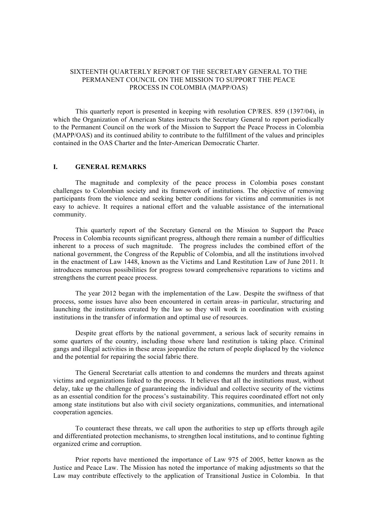## SIXTEENTH QUARTERLY REPORT OF THE SECRETARY GENERAL TO THE PERMANENT COUNCIL ON THE MISSION TO SUPPORT THE PEACE PROCESS IN COLOMBIA (MAPP/OAS)

This quarterly report is presented in keeping with resolution CP/RES. 859 (1397/04), in which the Organization of American States instructs the Secretary General to report periodically to the Permanent Council on the work of the Mission to Support the Peace Process in Colombia (MAPP/OAS) and its continued ability to contribute to the fulfillment of the values and principles contained in the OAS Charter and the Inter-American Democratic Charter.

### **I. GENERAL REMARKS**

The magnitude and complexity of the peace process in Colombia poses constant challenges to Colombian society and its framework of institutions. The objective of removing participants from the violence and seeking better conditions for victims and communities is not easy to achieve. It requires a national effort and the valuable assistance of the international community.

This quarterly report of the Secretary General on the Mission to Support the Peace Process in Colombia recounts significant progress, although there remain a number of difficulties inherent to a process of such magnitude. The progress includes the combined effort of the national government, the Congress of the Republic of Colombia, and all the institutions involved in the enactment of Law 1448, known as the Victims and Land Restitution Law of June 2011. It introduces numerous possibilities for progress toward comprehensive reparations to victims and strengthens the current peace process.

The year 2012 began with the implementation of the Law. Despite the swiftness of that process, some issues have also been encountered in certain areas–in particular, structuring and launching the institutions created by the law so they will work in coordination with existing institutions in the transfer of information and optimal use of resources.

Despite great efforts by the national government, a serious lack of security remains in some quarters of the country, including those where land restitution is taking place. Criminal gangs and illegal activities in these areas jeopardize the return of people displaced by the violence and the potential for repairing the social fabric there.

The General Secretariat calls attention to and condemns the murders and threats against victims and organizations linked to the process. It believes that all the institutions must, without delay, take up the challenge of guaranteeing the individual and collective security of the victims as an essential condition for the process's sustainability. This requires coordinated effort not only among state institutions but also with civil society organizations, communities, and international cooperation agencies.

To counteract these threats, we call upon the authorities to step up efforts through agile and differentiated protection mechanisms, to strengthen local institutions, and to continue fighting organized crime and corruption.

Prior reports have mentioned the importance of Law 975 of 2005, better known as the Justice and Peace Law. The Mission has noted the importance of making adjustments so that the Law may contribute effectively to the application of Transitional Justice in Colombia. In that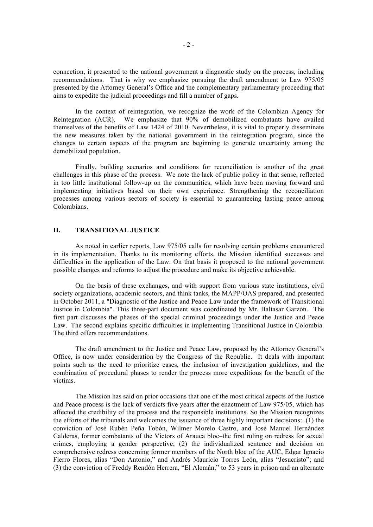connection, it presented to the national government a diagnostic study on the process, including recommendations. That is why we emphasize pursuing the draft amendment to Law 975/05 presented by the Attorney General's Office and the complementary parliamentary proceeding that aims to expedite the judicial proceedings and fill a number of gaps.

In the context of reintegration, we recognize the work of the Colombian Agency for Reintegration (ACR). We emphasize that 90% of demobilized combatants have availed themselves of the benefits of Law 1424 of 2010. Nevertheless, it is vital to properly disseminate the new measures taken by the national government in the reintegration program, since the changes to certain aspects of the program are beginning to generate uncertainty among the demobilized population.

Finally, building scenarios and conditions for reconciliation is another of the great challenges in this phase of the process. We note the lack of public policy in that sense, reflected in too little institutional follow-up on the communities, which have been moving forward and implementing initiatives based on their own experience. Strengthening the reconciliation processes among various sectors of society is essential to guaranteeing lasting peace among Colombians.

## **II. TRANSITIONAL JUSTICE**

As noted in earlier reports, Law 975/05 calls for resolving certain problems encountered in its implementation. Thanks to its monitoring efforts, the Mission identified successes and difficulties in the application of the Law. On that basis it proposed to the national government possible changes and reforms to adjust the procedure and make its objective achievable.

On the basis of these exchanges, and with support from various state institutions, civil society organizations, academic sectors, and think tanks, the MAPP/OAS prepared, and presented in October 2011, a "Diagnostic of the Justice and Peace Law under the framework of Transitional Justice in Colombia". This three-part document was coordinated by Mr. Baltasar Garzón. The first part discusses the phases of the special criminal proceedings under the Justice and Peace Law. The second explains specific difficulties in implementing Transitional Justice in Colombia. The third offers recommendations.

The draft amendment to the Justice and Peace Law, proposed by the Attorney General's Office, is now under consideration by the Congress of the Republic. It deals with important points such as the need to prioritize cases, the inclusion of investigation guidelines, and the combination of procedural phases to render the process more expeditious for the benefit of the victims.

The Mission has said on prior occasions that one of the most critical aspects of the Justice and Peace process is the lack of verdicts five years after the enactment of Law 975/05, which has affected the credibility of the process and the responsible institutions. So the Mission recognizes the efforts of the tribunals and welcomes the issuance of three highly important decisions: (1) the conviction of José Rubén Peña Tobón, Wilmer Morelo Castro, and José Manuel Hernández Calderas, former combatants of the Victors of Arauca bloc–the first ruling on redress for sexual crimes, employing a gender perspective; (2) the individualized sentence and decision on comprehensive redress concerning former members of the North bloc of the AUC, Edgar Ignacio Fierro Flores, alias "Don Antonio," and Andrés Mauricio Torres León, alias "Jesucristo"; and (3) the conviction of Freddy Rendón Herrera, "El Alemán," to 53 years in prison and an alternate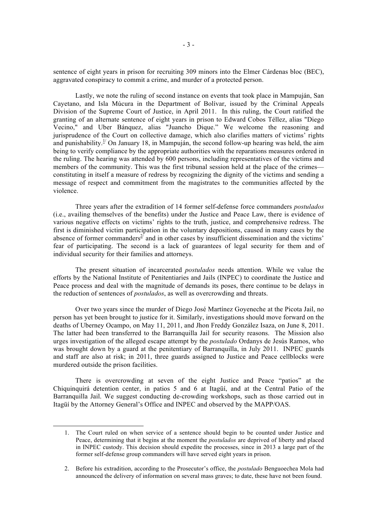sentence of eight years in prison for recruiting 309 minors into the Elmer Cárdenas bloc (BEC), aggravated conspiracy to commit a crime, and murder of a protected person.

Lastly, we note the ruling of second instance on events that took place in Mampuján, San Cayetano, and Isla Múcura in the Department of Bolívar, issued by the Criminal Appeals Division of the Supreme Court of Justice, in April 2011. In this ruling, the Court ratified the granting of an alternate sentence of eight years in prison to Edward Cobos Téllez, alias "Diego Vecino," and Uber Bánquez, alias "Juancho Dique." We welcome the reasoning and jurisprudence of the Court on collective damage, which also clarifies matters of victims' rights and punishability.<sup>1/</sup> On January 18, in Mampuján, the second follow-up hearing was held, the aim being to verify compliance by the appropriate authorities with the reparations measures ordered in the ruling. The hearing was attended by 600 persons, including representatives of the victims and members of the community. This was the first tribunal session held at the place of the crimes constituting in itself a measure of redress by recognizing the dignity of the victims and sending a message of respect and commitment from the magistrates to the communities affected by the violence.

Three years after the extradition of 14 former self-defense force commanders *postulados* (i.e., availing themselves of the benefits) under the Justice and Peace Law, there is evidence of various negative effects on victims' rights to the truth, justice, and comprehensive redress. The first is diminished victim participation in the voluntary depositions, caused in many cases by the absence of former commanders<sup>2</sup> and in other cases by insufficient dissemination and the victims' fear of participating. The second is a lack of guarantees of legal security for them and of individual security for their families and attorneys.

The present situation of incarcerated *postulados* needs attention. While we value the efforts by the National Institute of Penitentiaries and Jails (INPEC) to coordinate the Justice and Peace process and deal with the magnitude of demands its poses, there continue to be delays in the reduction of sentences of *postulados*, as well as overcrowding and threats.

Over two years since the murder of Diego José Martínez Goyeneche at the Picota Jail, no person has yet been brought to justice for it. Similarly, investigations should move forward on the deaths of Uberney Ocampo, on May 11, 2011, and Jhon Freddy González Isaza, on June 8, 2011. The latter had been transferred to the Barranquilla Jail for security reasons. The Mission also urges investigation of the alleged escape attempt by the *postulado* Ordanys de Jesús Ramos, who was brought down by a guard at the penitentiary of Barranquilla, in July 2011. INPEC guards and staff are also at risk; in 2011, three guards assigned to Justice and Peace cellblocks were murdered outside the prison facilities.

There is overcrowding at seven of the eight Justice and Peace "patios" at the Chiquinquirá detention center, in patios 5 and 6 at Itagüí, and at the Central Patio of the Barranquilla Jail. We suggest conducting de-crowding workshops, such as those carried out in Itagüí by the Attorney General's Office and INPEC and observed by the MAPP/OAS.

<sup>1.</sup> The Court ruled on when service of a sentence should begin to be counted under Justice and Peace, determining that it begins at the moment the *postulados* are deprived of liberty and placed in INPEC custody. This decision should expedite the processes, since in 2013 a large part of the former self-defense group commanders will have served eight years in prison.

<sup>2.</sup> Before his extradition, according to the Prosecutor's office, the *postulado* Benguoechea Mola had announced the delivery of information on several mass graves; to date, these have not been found.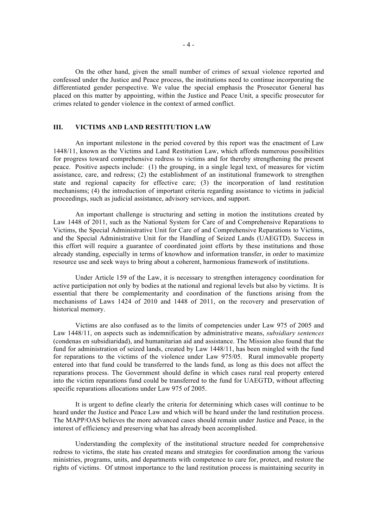On the other hand, given the small number of crimes of sexual violence reported and confessed under the Justice and Peace process, the institutions need to continue incorporating the differentiated gender perspective. We value the special emphasis the Prosecutor General has placed on this matter by appointing, within the Justice and Peace Unit, a specific prosecutor for crimes related to gender violence in the context of armed conflict.

# **III. VICTIMS AND LAND RESTITUTION LAW**

An important milestone in the period covered by this report was the enactment of Law 1448/11, known as the Victims and Land Restitution Law, which affords numerous possibilities for progress toward comprehensive redress to victims and for thereby strengthening the present peace. Positive aspects include: (1) the grouping, in a single legal text, of measures for victim assistance, care, and redress; (2) the establishment of an institutional framework to strengthen state and regional capacity for effective care; (3) the incorporation of land restitution mechanisms; (4) the introduction of important criteria regarding assistance to victims in judicial proceedings, such as judicial assistance, advisory services, and support.

An important challenge is structuring and setting in motion the institutions created by Law 1448 of 2011, such as the National System for Care of and Comprehensive Reparations to Victims, the Special Administrative Unit for Care of and Comprehensive Reparations to Victims, and the Special Administrative Unit for the Handling of Seized Lands (UAEGTD). Success in this effort will require a guarantee of coordinated joint efforts by these institutions and those already standing, especially in terms of knowhow and information transfer, in order to maximize resource use and seek ways to bring about a coherent, harmonious framework of institutions.

Under Article 159 of the Law, it is necessary to strengthen interagency coordination for active participation not only by bodies at the national and regional levels but also by victims. It is essential that there be complementarity and coordination of the functions arising from the mechanisms of Laws 1424 of 2010 and 1448 of 2011, on the recovery and preservation of historical memory.

Victims are also confused as to the limits of competencies under Law 975 of 2005 and Law 1448/11, on aspects such as indemnification by administrative means, *subsidiary sentences* (condenas en subsidiaridad), and humanitarian aid and assistance. The Mission also found that the fund for administration of seized lands, created by Law 1448/11, has been mingled with the fund for reparations to the victims of the violence under Law 975/05. Rural immovable property entered into that fund could be transferred to the lands fund, as long as this does not affect the reparations process. The Government should define in which cases rural real property entered into the victim reparations fund could be transferred to the fund for UAEGTD, without affecting specific reparations allocations under Law 975 of 2005.

It is urgent to define clearly the criteria for determining which cases will continue to be heard under the Justice and Peace Law and which will be heard under the land restitution process. The MAPP/OAS believes the more advanced cases should remain under Justice and Peace, in the interest of efficiency and preserving what has already been accomplished.

Understanding the complexity of the institutional structure needed for comprehensive redress to victims, the state has created means and strategies for coordination among the various ministries, programs, units, and departments with competence to care for, protect, and restore the rights of victims. Of utmost importance to the land restitution process is maintaining security in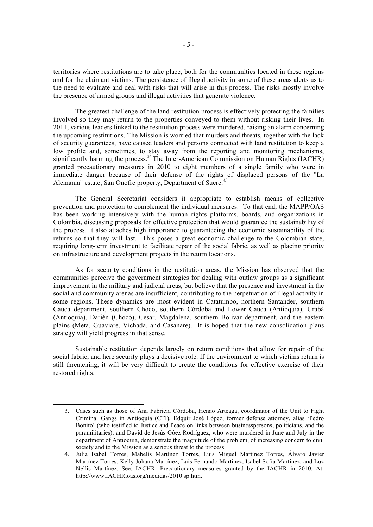territories where restitutions are to take place, both for the communities located in these regions and for the claimant victims. The persistence of illegal activity in some of these areas alerts us to the need to evaluate and deal with risks that will arise in this process. The risks mostly involve the presence of armed groups and illegal activities that generate violence.

The greatest challenge of the land restitution process is effectively protecting the families involved so they may return to the properties conveyed to them without risking their lives. In 2011, various leaders linked to the restitution process were murdered, raising an alarm concerning the upcoming restitutions. The Mission is worried that murders and threats, together with the lack of security guarantees, have caused leaders and persons connected with land restitution to keep a low profile and, sometimes, to stay away from the reporting and monitoring mechanisms, significantly harming the process.<sup> $3/$ </sup> The Inter-American Commission on Human Rights (IACHR) granted precautionary measures in 2010 to eight members of a single family who were in immediate danger because of their defense of the rights of displaced persons of the "La Alemania" estate, San Onofre property, Department of Sucre.<sup>4/</sup>

The General Secretariat considers it appropriate to establish means of collective prevention and protection to complement the individual measures. To that end, the MAPP/OAS has been working intensively with the human rights platforms, boards, and organizations in Colombia, discussing proposals for effective protection that would guarantee the sustainability of the process. It also attaches high importance to guaranteeing the economic sustainability of the returns so that they will last. This poses a great economic challenge to the Colombian state, requiring long-term investment to facilitate repair of the social fabric, as well as placing priority on infrastructure and development projects in the return locations.

As for security conditions in the restitution areas, the Mission has observed that the communities perceive the government strategies for dealing with outlaw groups as a significant improvement in the military and judicial areas, but believe that the presence and investment in the social and community arenas are insufficient, contributing to the perpetuation of illegal activity in some regions. These dynamics are most evident in Catatumbo, northern Santander, southern Cauca department, southern Chocó, southern Córdoba and Lower Cauca (Antioquia), Urabá (Antioquia), Darién (Chocó), Cesar, Magdalena, southern Bolívar department, and the eastern plains (Meta, Guaviare, Vichada, and Casanare). It is hoped that the new consolidation plans strategy will yield progress in that sense.

Sustainable restitution depends largely on return conditions that allow for repair of the social fabric, and here security plays a decisive role. If the environment to which victims return is still threatening, it will be very difficult to create the conditions for effective exercise of their restored rights.

<sup>3.</sup> Cases such as those of Ana Fabricia Córdoba, Henao Arteaga, coordinator of the Unit to Fight Criminal Gangs in Antioquia (CTI), Edquir José López, former defense attorney, alias 'Pedro Bonito' (who testified to Justice and Peace on links between businesspersons, politicians, and the paramilitaries), and David de Jesús Góez Rodríguez, who were murdered in June and July in the department of Antioquia, demonstrate the magnitude of the problem, of increasing concern to civil society and to the Mission as a serious threat to the process.

<sup>4.</sup> Julia Isabel Torres, Mabelis Martínez Torres, Luis Miguel Martínez Torres, Álvaro Javier Martínez Torres, Kelly Johana Martínez, Luis Fernando Martínez, Isabel Sofía Martínez, and Luz Nellis Martínez. See: IACHR. Precautionary measures granted by the IACHR in 2010. At: http://www.IACHR.oas.org/medidas/2010.sp.htm.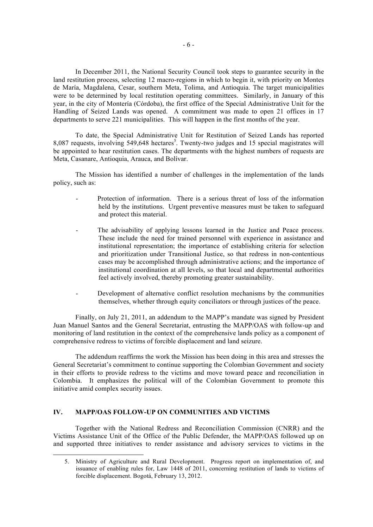In December 2011, the National Security Council took steps to guarantee security in the land restitution process, selecting 12 macro-regions in which to begin it, with priority on Montes de María, Magdalena, Cesar, southern Meta, Tolima, and Antioquia. The target municipalities were to be determined by local restitution operating committees. Similarly, in January of this year, in the city of Montería (Córdoba), the first office of the Special Administrative Unit for the Handling of Seized Lands was opened. A commitment was made to open 21 offices in 17 departments to serve 221 municipalities. This will happen in the first months of the year.

To date, the Special Administrative Unit for Restitution of Seized Lands has reported 8,087 requests, involving 549,648 hectares<sup>5</sup>. Twenty-two judges and 15 special magistrates will be appointed to hear restitution cases. The departments with the highest numbers of requests are Meta, Casanare, Antioquia, Arauca, and Bolívar.

The Mission has identified a number of challenges in the implementation of the lands policy, such as:

- Protection of information. There is a serious threat of loss of the information held by the institutions. Urgent preventive measures must be taken to safeguard and protect this material.
- The advisability of applying lessons learned in the Justice and Peace process. These include the need for trained personnel with experience in assistance and institutional representation; the importance of establishing criteria for selection and prioritization under Transitional Justice, so that redress in non-contentious cases may be accomplished through administrative actions; and the importance of institutional coordination at all levels, so that local and departmental authorities feel actively involved, thereby promoting greater sustainability.
- Development of alternative conflict resolution mechanisms by the communities themselves, whether through equity conciliators or through justices of the peace.

Finally, on July 21, 2011, an addendum to the MAPP's mandate was signed by President Juan Manuel Santos and the General Secretariat, entrusting the MAPP/OAS with follow-up and monitoring of land restitution in the context of the comprehensive lands policy as a component of comprehensive redress to victims of forcible displacement and land seizure.

The addendum reaffirms the work the Mission has been doing in this area and stresses the General Secretariat's commitment to continue supporting the Colombian Government and society in their efforts to provide redress to the victims and move toward peace and reconciliation in Colombia. It emphasizes the political will of the Colombian Government to promote this initiative amid complex security issues.

## **IV. MAPP/OAS FOLLOW-UP ON COMMUNITIES AND VICTIMS**

l

Together with the National Redress and Reconciliation Commission (CNRR) and the Victims Assistance Unit of the Office of the Public Defender, the MAPP/OAS followed up on and supported three initiatives to render assistance and advisory services to victims in the

<sup>5.</sup> Ministry of Agriculture and Rural Development. Progress report on implementation of, and issuance of enabling rules for, Law 1448 of 2011, concerning restitution of lands to victims of forcible displacement. Bogotá, February 13, 2012.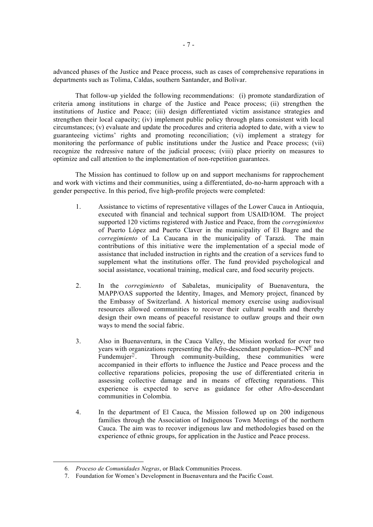advanced phases of the Justice and Peace process, such as cases of comprehensive reparations in departments such as Tolima, Caldas, southern Santander, and Bolívar.

That follow-up yielded the following recommendations: (i) promote standardization of criteria among institutions in charge of the Justice and Peace process; (ii) strengthen the institutions of Justice and Peace; (iii) design differentiated victim assistance strategies and strengthen their local capacity; (iv) implement public policy through plans consistent with local circumstances; (v) evaluate and update the procedures and criteria adopted to date, with a view to guaranteeing victims' rights and promoting reconciliation; (vi) implement a strategy for monitoring the performance of public institutions under the Justice and Peace process; (vii) recognize the redressive nature of the judicial process; (viii) place priority on measures to optimize and call attention to the implementation of non-repetition guarantees.

The Mission has continued to follow up on and support mechanisms for rapprochement and work with victims and their communities, using a differentiated, do-no-harm approach with a gender perspective. In this period, five high-profile projects were completed:

- 1. Assistance to victims of representative villages of the Lower Cauca in Antioquia, executed with financial and technical support from USAID/IOM. The project supported 120 victims registered with Justice and Peace, from the *corregimientos* of Puerto López and Puerto Claver in the municipality of El Bagre and the *corregimiento* of La Caucana in the municipality of Tarazá. The main contributions of this initiative were the implementation of a special mode of assistance that included instruction in rights and the creation of a services fund to supplement what the institutions offer. The fund provided psychological and social assistance, vocational training, medical care, and food security projects.
- 2. In the *corregimiento* of Sabaletas, municipality of Buenaventura, the MAPP/OAS supported the Identity, Images, and Memory project, financed by the Embassy of Switzerland. A historical memory exercise using audiovisual resources allowed communities to recover their cultural wealth and thereby design their own means of peaceful resistance to outlaw groups and their own ways to mend the social fabric.
- 3. Also in Buenaventura, in the Cauca Valley, the Mission worked for over two years with organizations representing the Afro-descendant population-- $PCN^{6}$  and Fundemujer<sup> $\frac{\pi}{2}$ </sup>. . Through community-building, these communities were accompanied in their efforts to influence the Justice and Peace process and the collective reparations policies, proposing the use of differentiated criteria in assessing collective damage and in means of effecting reparations. This experience is expected to serve as guidance for other Afro-descendant communities in Colombia.
- 4. In the department of El Cauca, the Mission followed up on 200 indigenous families through the Association of Indigenous Town Meetings of the northern Cauca. The aim was to recover indigenous law and methodologies based on the experience of ethnic groups, for application in the Justice and Peace process.

<sup>6</sup>*. Proceso de Comunidades Negras*, or Black Communities Process.

<sup>7.</sup> Foundation for Women's Development in Buenaventura and the Pacific Coast.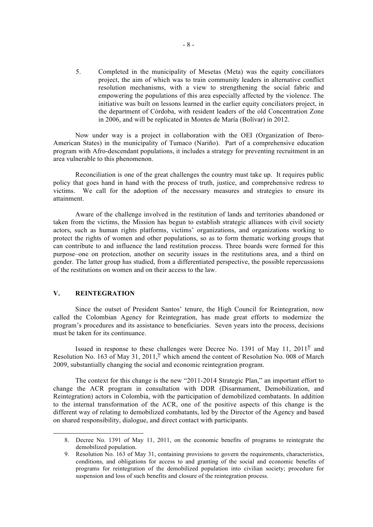5. Completed in the municipality of Mesetas (Meta) was the equity conciliators project, the aim of which was to train community leaders in alternative conflict resolution mechanisms, with a view to strengthening the social fabric and empowering the populations of this area especially affected by the violence. The initiative was built on lessons learned in the earlier equity conciliators project, in the department of Córdoba, with resident leaders of the old Concentration Zone in 2006, and will be replicated in Montes de María (Bolívar) in 2012.

Now under way is a project in collaboration with the OEI (Organization of Ibero-American States) in the municipality of Tumaco (Nariño). Part of a comprehensive education program with Afro-descendant populations, it includes a strategy for preventing recruitment in an area vulnerable to this phenomenon.

Reconciliation is one of the great challenges the country must take up. It requires public policy that goes hand in hand with the process of truth, justice, and comprehensive redress to victims. We call for the adoption of the necessary measures and strategies to ensure its attainment.

Aware of the challenge involved in the restitution of lands and territories abandoned or taken from the victims, the Mission has begun to establish strategic alliances with civil society actors, such as human rights platforms, victims' organizations, and organizations working to protect the rights of women and other populations, so as to form thematic working groups that can contribute to and influence the land restitution process. Three boards were formed for this purpose–one on protection, another on security issues in the restitutions area, and a third on gender. The latter group has studied, from a differentiated perspective, the possible repercussions of the restitutions on women and on their access to the law.

## **V. REINTEGRATION**

l

Since the outset of President Santos' tenure, the High Council for Reintegration, now called the Colombian Agency for Reintegration, has made great efforts to modernize the program's procedures and its assistance to beneficiaries. Seven years into the process, decisions must be taken for its continuance.

Issued in response to these challenges were Decree No. 1391 of May 11,  $2011<sup>8</sup>$  and Resolution No. 163 of May 31, 2011,  $\frac{9}{2}$  which amend the content of Resolution No. 008 of March 2009, substantially changing the social and economic reintegration program.

The context for this change is the new "2011-2014 Strategic Plan," an important effort to change the ACR program in consultation with DDR (Disarmament, Demobilization, and Reintegration) actors in Colombia, with the participation of demobilized combatants. In addition to the internal transformation of the ACR, one of the positive aspects of this change is the different way of relating to demobilized combatants, led by the Director of the Agency and based on shared responsibility, dialogue, and direct contact with participants.

<sup>8.</sup> Decree No. 1391 of May 11, 2011, on the economic benefits of programs to reintegrate the demobilized population.

<sup>9.</sup> Resolution No. 163 of May 31, containing provisions to govern the requirements, characteristics, conditions, and obligations for access to and granting of the social and economic benefits of programs for reintegration of the demobilized population into civilian society; procedure for suspension and loss of such benefits and closure of the reintegration process.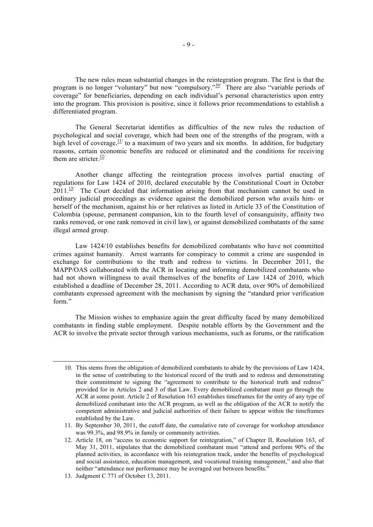The new rules mean substantial changes in the reintegration program. The first is that the program is no longer "voluntary" but now "compulsory."<sup>10/</sup> There are also "variable periods of coverage" for beneficiaries, depending on each individual's personal characteristics upon entry into the program. This provision is positive, since it follows prior recommendations to establish a differentiated program.

The General Secretariat identifies as difficulties of the new rules the reduction of psychological and social coverage, which had been one of the strengths of the program, with a high level of coverage,  $\frac{11}{1}$  to a maximum of two years and six months. In addition, for budgetary reasons, certain economic benefits are reduced or eliminated and the conditions for receiving them are stricter  $\frac{12}{1}$ 

Another change affecting the reintegration process involves partial enacting of regulations for Law 1424 of 2010, declared executable by the Constitutional Court in October  $2011.^{137}$  The Court decided that information arising from that mechanism cannot be used in ordinary judicial proceedings as evidence against the demobilized person who avails him- or herself of the mechanism, against his or her relatives as listed in Article 33 of the Constitution of Colombia (spouse, permanent companion, kin to the fourth level of consanguinity, affinity two ranks removed, or one rank removed in civil law), or against demobilized combatants of the same illegal armed group.

Law 1424/10 establishes benefits for demobilized combatants who have not committed crimes against humanity. Arrest warrants for conspiracy to commit a crime are suspended in exchange for contributions to the truth and redress to victims. In December 2011, the MAPP/OAS collaborated with the ACR in locating and informing demobilized combatants who had not shown willingness to avail themselves of the benefits of Law 1424 of 2010, which established a deadline of December 28, 2011. According to ACR data, over 90% of demobilized combatants expressed agreement with the mechanism by signing the "standard prior verification form."

The Mission wishes to emphasize again the great difficulty faced by many demobilized combatants in finding stable employment. Despite notable efforts by the Government and the ACR to involve the private sector through various mechanisms, such as forums, or the ratification

<sup>10.</sup> This stems from the obligation of demobilized combatants to abide by the provisions of Law 1424, in the sense of contributing to the historical record of the truth and to redress and demonstrating their commitment to signing the "agreement to contribute to the historical truth and redress" provided for in Articles 2 and 3 of that Law. Every demobilized combatant must go through the ACR at some point. Article 2 of Resolution 163 establishes timeframes for the entry of any type of demobilized combatant into the ACR program, as well as the obligation of the ACR to notify the competent administrative and judicial authorities of their failure to appear within the timeframes established by the Law.

<sup>11.</sup> By September 30, 2011, the cutoff date, the cumulative rate of coverage for workshop attendance was 99.3%, and 98.9% in family or community activities.

<sup>12.</sup> Article 18, on "access to economic support for reintegration," of Chapter II, Resolution 163, of May 31, 2011, stipulates that the demobilized combatant must "attend and perform 90% of the planned activities, in accordance with his reintegration track, under the benefits of psychological and social assistance, education management, and vocational training management," and also that neither "attendance nor performance may be averaged out between benefits."

<sup>13.</sup> Judgment C 771 of October 13, 2011.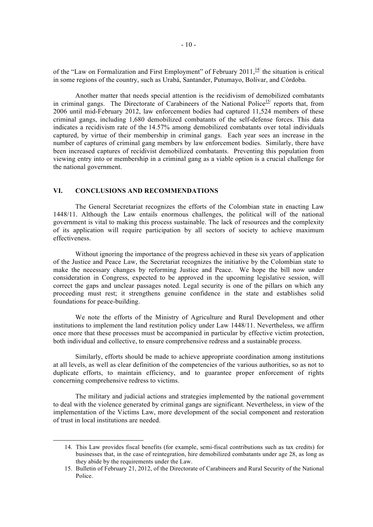of the "Law on Formalization and First Employment" of February 2011, $\frac{14}{1}$  the situation is critical in some regions of the country, such as Urabá, Santander, Putumayo, Bolívar, and Córdoba.

Another matter that needs special attention is the recidivism of demobilized combatants in criminal gangs. The Directorate of Carabineers of the National Police<sup>15/</sup> reports that, from 2006 until mid-February 2012, law enforcement bodies had captured 11,524 members of these criminal gangs, including 1,680 demobilized combatants of the self-defense forces. This data indicates a recidivism rate of the 14.57% among demobilized combatants over total individuals captured, by virtue of their membership in criminal gangs. Each year sees an increase in the number of captures of criminal gang members by law enforcement bodies. Similarly, there have been increased captures of recidivist demobilized combatants. Preventing this population from viewing entry into or membership in a criminal gang as a viable option is a crucial challenge for the national government.

### **VI. CONCLUSIONS AND RECOMMENDATIONS**

l

The General Secretariat recognizes the efforts of the Colombian state in enacting Law 1448/11. Although the Law entails enormous challenges, the political will of the national government is vital to making this process sustainable. The lack of resources and the complexity of its application will require participation by all sectors of society to achieve maximum effectiveness.

Without ignoring the importance of the progress achieved in these six years of application of the Justice and Peace Law, the Secretariat recognizes the initiative by the Colombian state to make the necessary changes by reforming Justice and Peace. We hope the bill now under consideration in Congress, expected to be approved in the upcoming legislative session, will correct the gaps and unclear passages noted. Legal security is one of the pillars on which any proceeding must rest; it strengthens genuine confidence in the state and establishes solid foundations for peace-building.

We note the efforts of the Ministry of Agriculture and Rural Development and other institutions to implement the land restitution policy under Law 1448/11. Nevertheless, we affirm once more that these processes must be accompanied in particular by effective victim protection, both individual and collective, to ensure comprehensive redress and a sustainable process.

Similarly, efforts should be made to achieve appropriate coordination among institutions at all levels, as well as clear definition of the competencies of the various authorities, so as not to duplicate efforts, to maintain efficiency, and to guarantee proper enforcement of rights concerning comprehensive redress to victims.

The military and judicial actions and strategies implemented by the national government to deal with the violence generated by criminal gangs are significant. Nevertheless, in view of the implementation of the Victims Law, more development of the social component and restoration of trust in local institutions are needed.

<sup>14.</sup> This Law provides fiscal benefits (for example, semi-fiscal contributions such as tax credits) for businesses that, in the case of reintegration, hire demobilized combatants under age 28, as long as they abide by the requirements under the Law.

<sup>15.</sup> Bulletin of February 21, 2012, of the Directorate of Carabineers and Rural Security of the National Police.